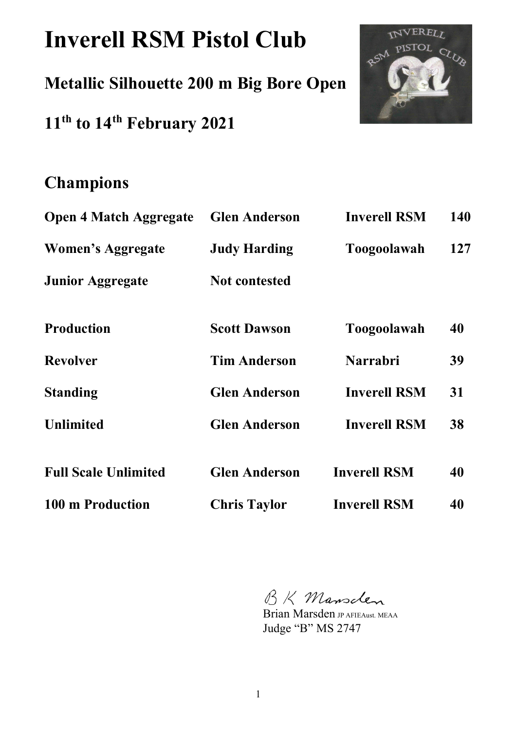# **Inverell RSM Pistol Club**

# **Metallic Silhouette 200 m Big Bore Open**

**11th to 14th February 2021** 



# **Champions**

| <b>Open 4 Match Aggregate</b> | <b>Glen Anderson</b> | <b>Inverell RSM</b> | 140 |
|-------------------------------|----------------------|---------------------|-----|
| <b>Women's Aggregate</b>      | <b>Judy Harding</b>  | <b>Toogoolawah</b>  | 127 |
| <b>Junior Aggregate</b>       | <b>Not contested</b> |                     |     |
| <b>Production</b>             | <b>Scott Dawson</b>  | <b>Toogoolawah</b>  | 40  |
| <b>Revolver</b>               | <b>Tim Anderson</b>  | <b>Narrabri</b>     | 39  |
| <b>Standing</b>               | <b>Glen Anderson</b> | <b>Inverell RSM</b> | 31  |
| <b>Unlimited</b>              | <b>Glen Anderson</b> | <b>Inverell RSM</b> | 38  |
| <b>Full Scale Unlimited</b>   | <b>Glen Anderson</b> | <b>Inverell RSM</b> | 40  |
| 100 m Production              | <b>Chris Taylor</b>  | <b>Inverell RSM</b> | 40  |

BK Mansclen

Brian Marsden JP AFIEAust. MEAA Judge "B" MS 2747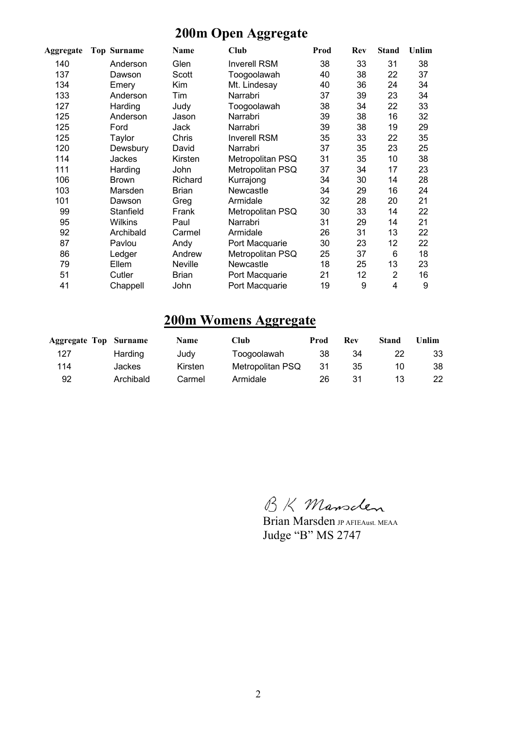## **200m Open Aggregate**

| Aggregate | <b>Top Surname</b> | Name         | Club                | Prod | Rev | <b>Stand</b>   | Unlim |
|-----------|--------------------|--------------|---------------------|------|-----|----------------|-------|
| 140       | Anderson           | Glen         | <b>Inverell RSM</b> | 38   | 33  | 31             | 38    |
| 137       | Dawson             | Scott        | Toogoolawah         | 40   | 38  | 22             | 37    |
| 134       | Emery              | Kim          | Mt. Lindesay        | 40   | 36  | 24             | 34    |
| 133       | Anderson           | Tim          | Narrabri            | 37   | 39  | 23             | 34    |
| 127       | Harding            | Judy         | Toogoolawah         | 38   | 34  | 22             | 33    |
| 125       | Anderson           | Jason        | Narrabri            | 39   | 38  | 16             | 32    |
| 125       | Ford               | Jack         | Narrabri            | 39   | 38  | 19             | 29    |
| 125       | Taylor             | Chris        | <b>Inverell RSM</b> | 35   | 33  | 22             | 35    |
| 120       | Dewsbury           | David        | Narrabri            | 37   | 35  | 23             | 25    |
| 114       | Jackes             | Kirsten      | Metropolitan PSQ    | 31   | 35  | 10             | 38    |
| 111       | Harding            | John         | Metropolitan PSQ    | 37   | 34  | 17             | 23    |
| 106       | <b>Brown</b>       | Richard      | Kurrajong           | 34   | 30  | 14             | 28    |
| 103       | Marsden            | <b>Brian</b> | Newcastle           | 34   | 29  | 16             | 24    |
| 101       | Dawson             | Greg         | Armidale            | 32   | 28  | 20             | 21    |
| 99        | Stanfield          | Frank        | Metropolitan PSQ    | 30   | 33  | 14             | 22    |
| 95        | <b>Wilkins</b>     | Paul         | Narrabri            | 31   | 29  | 14             | 21    |
| 92        | Archibald          | Carmel       | Armidale            | 26   | 31  | 13             | 22    |
| 87        | Pavlou             | Andy         | Port Macquarie      | 30   | 23  | 12             | 22    |
| 86        | Ledger             | Andrew       | Metropolitan PSQ    | 25   | 37  | 6              | 18    |
| 79        | Ellem              | Neville      | Newcastle           | 18   | 25  | 13             | 23    |
| 51        | Cutler             | <b>Brian</b> | Port Macquarie      | 21   | 12  | $\overline{2}$ | 16    |
| 41        | Chappell           | John         | Port Macquarie      | 19   | 9   | 4              | 9     |

### **200m Womens Aggregate**

| <b>Aggregate Top Surname</b> |           | <b>Name</b> | Club             | Prod | Rev | Stand | Unlim |
|------------------------------|-----------|-------------|------------------|------|-----|-------|-------|
| 127                          | Harding   | Judy        | Toogoolawah      | 38   | 34  |       | 33    |
| 114                          | Jackes    | Kirsten     | Metropolitan PSQ | -31  | 35  | 10    | 38    |
| 92                           | Archibald | Carmel      | Armidale         | 26   | 31  | 13    | 22    |

BK Mansclen

Brian Marsden JP AFIEAust. MEAA Judge "B" MS 2747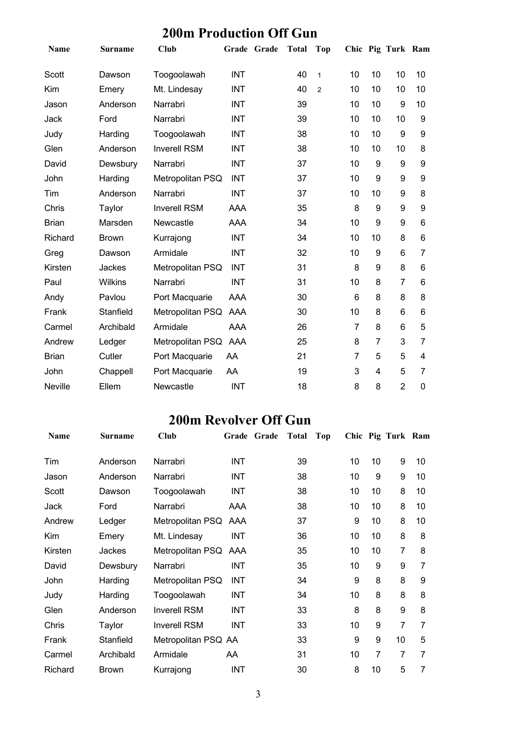## **200m Production Off Gun**

| Name           | <b>Surname</b> | <b>Club</b>         |            | Grade Grade | <b>Total</b> | <b>Top</b>     |                |    | Chic Pig Turk Ram |    |
|----------------|----------------|---------------------|------------|-------------|--------------|----------------|----------------|----|-------------------|----|
| Scott          | Dawson         | Toogoolawah         | <b>INT</b> |             | 40           | $\mathbf{1}$   | 10             | 10 | 10                | 10 |
| Kim            | Emery          | Mt. Lindesay        | <b>INT</b> |             | 40           | $\overline{2}$ | 10             | 10 | 10                | 10 |
| Jason          | Anderson       | Narrabri            | <b>INT</b> |             | 39           |                | 10             | 10 | 9                 | 10 |
| Jack           | Ford           | Narrabri            | <b>INT</b> |             | 39           |                | 10             | 10 | 10                | 9  |
| Judy           | Harding        | Toogoolawah         | <b>INT</b> |             | 38           |                | 10             | 10 | 9                 | 9  |
| Glen           | Anderson       | <b>Inverell RSM</b> | <b>INT</b> |             | 38           |                | 10             | 10 | 10                | 8  |
| David          | Dewsbury       | Narrabri            | <b>INT</b> |             | 37           |                | 10             | 9  | 9                 | 9  |
| John           | Harding        | Metropolitan PSQ    | <b>INT</b> |             | 37           |                | 10             | 9  | 9                 | 9  |
| Tim            | Anderson       | Narrabri            | <b>INT</b> |             | 37           |                | 10             | 10 | 9                 | 8  |
| Chris          | Taylor         | <b>Inverell RSM</b> | AAA        |             | 35           |                | 8              | 9  | 9                 | 9  |
| <b>Brian</b>   | Marsden        | Newcastle           | <b>AAA</b> |             | 34           |                | 10             | 9  | 9                 | 6  |
| Richard        | <b>Brown</b>   | Kurrajong           | <b>INT</b> |             | 34           |                | 10             | 10 | 8                 | 6  |
| Greg           | Dawson         | Armidale            | <b>INT</b> |             | 32           |                | 10             | 9  | 6                 | 7  |
| Kirsten        | Jackes         | Metropolitan PSQ    | <b>INT</b> |             | 31           |                | 8              | 9  | 8                 | 6  |
| Paul           | Wilkins        | Narrabri            | <b>INT</b> |             | 31           |                | 10             | 8  | $\overline{7}$    | 6  |
| Andy           | Pavlou         | Port Macquarie      | <b>AAA</b> |             | 30           |                | 6              | 8  | 8                 | 8  |
| Frank          | Stanfield      | Metropolitan PSQ    | AAA        |             | 30           |                | 10             | 8  | 6                 | 6  |
| Carmel         | Archibald      | Armidale            | AAA        |             | 26           |                | $\overline{7}$ | 8  | 6                 | 5  |
| Andrew         | Ledger         | Metropolitan PSQ    | AAA        |             | 25           |                | 8              | 7  | 3                 | 7  |
| <b>Brian</b>   | Cutler         | Port Macquarie      | AA         |             | 21           |                | 7              | 5  | 5                 | 4  |
| John           | Chappell       | Port Macquarie      | AA         |             | 19           |                | 3              | 4  | 5                 | 7  |
| <b>Neville</b> | Ellem          | Newcastle           | <b>INT</b> |             | 18           |                | 8              | 8  | $\overline{2}$    | 0  |

### **200m Revolver Off Gun**

| Name    | <b>Surname</b> | Club                 | Grade Grade | <b>Total</b> | Top |    |    | Chic Pig Turk Ram |    |
|---------|----------------|----------------------|-------------|--------------|-----|----|----|-------------------|----|
| Tim     | Anderson       | Narrabri             | <b>INT</b>  | 39           |     | 10 | 10 | 9                 | 10 |
| Jason   | Anderson       | Narrabri             | <b>INT</b>  | 38           |     | 10 | 9  | 9                 | 10 |
| Scott   | Dawson         | Toogoolawah          | <b>INT</b>  | 38           |     | 10 | 10 | 8                 | 10 |
| Jack    | Ford           | Narrabri             | AAA         | 38           |     | 10 | 10 | 8                 | 10 |
| Andrew  | Ledger         | Metropolitan PSQ AAA |             | 37           |     | 9  | 10 | 8                 | 10 |
| Kim     | Emery          | Mt. Lindesay         | <b>INT</b>  | 36           |     | 10 | 10 | 8                 | 8  |
| Kirsten | Jackes         | Metropolitan PSQ AAA |             | 35           |     | 10 | 10 | $\overline{7}$    | 8  |
| David   | Dewsbury       | Narrabri             | <b>INT</b>  | 35           |     | 10 | 9  | 9                 | 7  |
| John    | Harding        | Metropolitan PSQ     | <b>INT</b>  | 34           |     | 9  | 8  | 8                 | 9  |
| Judy    | Harding        | Toogoolawah          | <b>INT</b>  | 34           |     | 10 | 8  | 8                 | 8  |
| Glen    | Anderson       | <b>Inverell RSM</b>  | INT         | 33           |     | 8  | 8  | 9                 | 8  |
| Chris   | Taylor         | <b>Inverell RSM</b>  | INT         | 33           |     | 10 | 9  | $\overline{7}$    | 7  |
| Frank   | Stanfield      | Metropolitan PSQ AA  |             | 33           |     | 9  | 9  | 10                | 5  |
| Carmel  | Archibald      | Armidale             | AA          | 31           |     | 10 | 7  | $\overline{7}$    | 7  |
| Richard | <b>Brown</b>   | Kurrajong            | <b>INT</b>  | 30           |     | 8  | 10 | 5                 | 7  |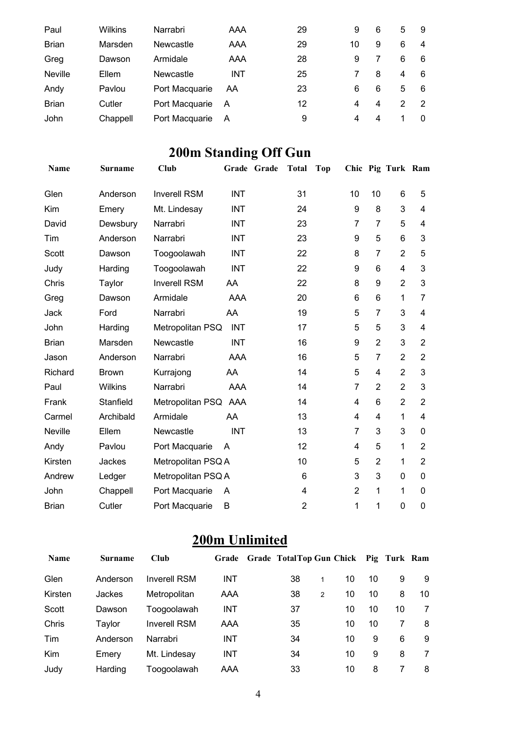| Paul           | Wilkins  | Narrabri       | AAA        | 29 | 9  | 6 | 5 | 9        |
|----------------|----------|----------------|------------|----|----|---|---|----------|
| <b>Brian</b>   | Marsden  | Newcastle      | AAA        | 29 | 10 | 9 | 6 | 4        |
| Greg           | Dawson   | Armidale       | AAA        | 28 | 9  |   | 6 | 6        |
| <b>Neville</b> | Ellem    | Newcastle      | <b>INT</b> | 25 |    | 8 | 4 | 6        |
| Andy           | Pavlou   | Port Macquarie | AA         | 23 | 6  | 6 | 5 | 6        |
| <b>Brian</b>   | Cutler   | Port Macquarie | A          | 12 | 4  | 4 | 2 |          |
| John           | Chappell | Port Macquarie | A          | 9  | 4  | 4 |   | $\Omega$ |

# **200m Standing Off Gun**

| <b>Name</b>  | <b>Surname</b> | Club                 |            | Grade Grade | <b>Total</b>   | <b>Top</b> |                  |                | Chic Pig Turk Ram |                |
|--------------|----------------|----------------------|------------|-------------|----------------|------------|------------------|----------------|-------------------|----------------|
| Glen         | Anderson       | <b>Inverell RSM</b>  | <b>INT</b> |             | 31             |            | 10               | 10             | 6                 | 5              |
| Kim          | Emery          | Mt. Lindesay         | <b>INT</b> |             | 24             |            | $\boldsymbol{9}$ | 8              | 3                 | 4              |
| David        | Dewsbury       | Narrabri             | <b>INT</b> |             | 23             |            | $\overline{7}$   | $\overline{7}$ | 5                 | 4              |
| Tim          | Anderson       | Narrabri             | <b>INT</b> |             | 23             |            | 9                | 5              | 6                 | 3              |
| <b>Scott</b> | Dawson         | Toogoolawah          | <b>INT</b> |             | 22             |            | 8                | $\overline{7}$ | $\overline{2}$    | 5              |
| Judy         | Harding        | Toogoolawah          | <b>INT</b> |             | 22             |            | 9                | 6              | 4                 | 3              |
| Chris        | Taylor         | <b>Inverell RSM</b>  | AA         |             | 22             |            | 8                | 9              | $\overline{2}$    | 3              |
| Greg         | Dawson         | Armidale             | AAA        |             | 20             |            | 6                | 6              | 1                 | 7              |
| Jack         | Ford           | Narrabri             | AA         |             | 19             |            | 5                | $\overline{7}$ | 3                 | 4              |
| John         | Harding        | Metropolitan PSQ     | <b>INT</b> |             | 17             |            | 5                | 5              | 3                 | 4              |
| <b>Brian</b> | Marsden        | Newcastle            | <b>INT</b> |             | 16             |            | 9                | $\overline{2}$ | 3                 | $\overline{2}$ |
| Jason        | Anderson       | Narrabri             | AAA        |             | 16             |            | 5                | $\overline{7}$ | $\overline{2}$    | $\overline{2}$ |
| Richard      | <b>Brown</b>   | Kurrajong            | AA         |             | 14             |            | 5                | 4              | $\overline{2}$    | 3              |
| Paul         | Wilkins        | Narrabri             | <b>AAA</b> |             | 14             |            | $\overline{7}$   | $\overline{2}$ | $\overline{2}$    | 3              |
| Frank        | Stanfield      | Metropolitan PSQ AAA |            |             | 14             |            | 4                | 6              | $\overline{2}$    | $\overline{2}$ |
| Carmel       | Archibald      | Armidale             | AA         |             | 13             |            | 4                | 4              | 1                 | 4              |
| Neville      | Ellem          | Newcastle            | <b>INT</b> |             | 13             |            | $\overline{7}$   | 3              | 3                 | 0              |
| Andy         | Pavlou         | Port Macquarie       | A          |             | 12             |            | 4                | 5              | 1                 | $\overline{2}$ |
| Kirsten      | Jackes         | Metropolitan PSQ A   |            |             | 10             |            | 5                | $\overline{2}$ | 1                 | $\overline{2}$ |
| Andrew       | Ledger         | Metropolitan PSQ A   |            |             | 6              |            | 3                | 3              | $\mathbf 0$       | 0              |
| John         | Chappell       | Port Macquarie       | A          |             | 4              |            | $\overline{2}$   | 1              | 1                 | 0              |
| <b>Brian</b> | Cutler         | Port Macquarie       | B          |             | $\overline{2}$ |            | 1                | 1              | 0                 | $\mathbf 0$    |

# **200m Unlimited**

| <b>Name</b> | <b>Surname</b> | Club                | Grade      | Grade TotalTop Gun Chick Pig Turk Ram |   |    |    |    |    |
|-------------|----------------|---------------------|------------|---------------------------------------|---|----|----|----|----|
| Glen        | Anderson       | <b>Inverell RSM</b> | <b>INT</b> | 38                                    |   | 10 | 10 | 9  | 9  |
| Kirsten     | Jackes         | Metropolitan        | AAA        | 38                                    | 2 | 10 | 10 | 8  | 10 |
| Scott       | Dawson         | Toogoolawah         | <b>INT</b> | 37                                    |   | 10 | 10 | 10 | 7  |
| Chris       | Taylor         | <b>Inverell RSM</b> | AAA        | 35                                    |   | 10 | 10 |    | 8  |
| Tim         | Anderson       | Narrabri            | <b>INT</b> | 34                                    |   | 10 | 9  | 6  | -9 |
| Kim         | Emery          | Mt. Lindesay        | <b>INT</b> | 34                                    |   | 10 | 9  | 8  | 7  |
| Judy        | Harding        | Toogoolawah         | AAA        | 33                                    |   | 10 | 8  |    | 8  |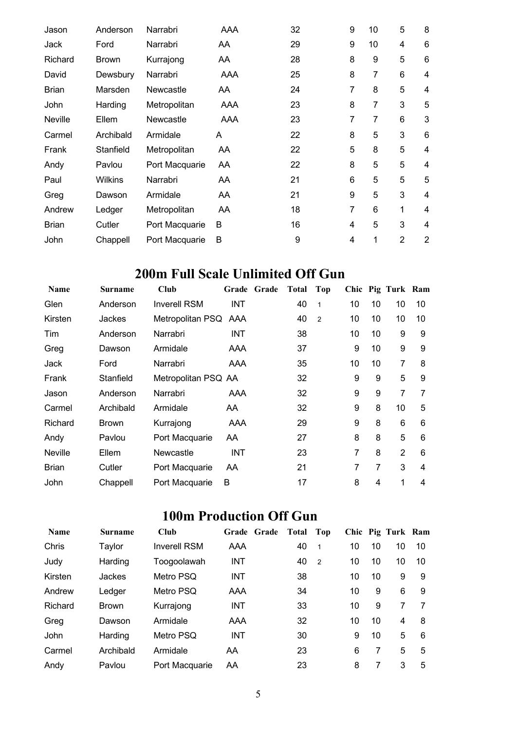| Jason        | Anderson       | Narrabri       | <b>AAA</b> | 32 | 9              | 10 | 5              | 8                       |
|--------------|----------------|----------------|------------|----|----------------|----|----------------|-------------------------|
| Jack         | Ford           | Narrabri       | AA         | 29 | 9              | 10 | 4              | 6                       |
| Richard      | <b>Brown</b>   | Kurrajong      | AA         | 28 | 8              | 9  | 5              | 6                       |
| David        | Dewsbury       | Narrabri       | AAA        | 25 | 8              | 7  | 6              | 4                       |
| <b>Brian</b> | Marsden        | Newcastle      | AA.        | 24 | 7              | 8  | 5              | $\overline{4}$          |
| John         | Harding        | Metropolitan   | AAA        | 23 | 8              | 7  | 3              | 5                       |
| Neville      | Ellem          | Newcastle      | AAA        | 23 | 7              | 7  | 6              | 3                       |
| Carmel       | Archibald      | Armidale       | A          | 22 | 8              | 5  | 3              | 6                       |
| Frank        | Stanfield      | Metropolitan   | AA         | 22 | 5              | 8  | 5              | 4                       |
| Andy         | Pavlou         | Port Macquarie | AA         | 22 | 8              | 5  | 5              | $\overline{\mathbf{4}}$ |
| Paul         | <b>Wilkins</b> | Narrabri       | AA         | 21 | 6              | 5  | 5              | 5                       |
| Greg         | Dawson         | Armidale       | AA         | 21 | 9              | 5  | 3              | 4                       |
| Andrew       | Ledger         | Metropolitan   | AA         | 18 | $\overline{7}$ | 6  | 1              | 4                       |
| <b>Brian</b> | Cutler         | Port Macquarie | B          | 16 | $\overline{4}$ | 5  | 3              | 4                       |
| John         | Chappell       | Port Macquarie | B          | 9  | 4              | 1  | $\overline{2}$ | $\overline{2}$          |

## **200m Full Scale Unlimited Off Gun**

| Name           | Surname      | Club                 |            | Grade Grade | Total | Top            |    |    | Chic Pig Turk Ram |    |
|----------------|--------------|----------------------|------------|-------------|-------|----------------|----|----|-------------------|----|
| Glen           | Anderson     | <b>Inverell RSM</b>  | <b>INT</b> |             | 40    | 1              | 10 | 10 | 10                | 10 |
| Kirsten        | Jackes       | Metropolitan PSQ AAA |            |             | 40    | $\overline{2}$ | 10 | 10 | 10                | 10 |
| Tim            | Anderson     | Narrabri             | INT        |             | 38    |                | 10 | 10 | 9                 | 9  |
| Greg           | Dawson       | Armidale             | AAA        |             | 37    |                | 9  | 10 | 9                 | 9  |
| Jack           | Ford         | Narrabri             | AAA        |             | 35    |                | 10 | 10 | 7                 | 8  |
| Frank          | Stanfield    | Metropolitan PSQ AA  |            |             | 32    |                | 9  | 9  | 5                 | 9  |
| Jason          | Anderson     | Narrabri             | AAA        |             | 32    |                | 9  | 9  | 7                 | 7  |
| Carmel         | Archibald    | Armidale             | AA         |             | 32    |                | 9  | 8  | 10                | 5  |
| Richard        | <b>Brown</b> | Kurrajong            | AAA        |             | 29    |                | 9  | 8  | 6                 | 6  |
| Andy           | Pavlou       | Port Macquarie       | AA         |             | 27    |                | 8  | 8  | 5                 | 6  |
| <b>Neville</b> | Ellem        | Newcastle            | INT        |             | 23    |                | 7  | 8  | $\overline{2}$    | 6  |
| <b>Brian</b>   | Cutler       | Port Macquarie       | AA         |             | 21    |                | 7  | 7  | 3                 | 4  |
| John           | Chappell     | Port Macquarie       | B          |             | 17    |                | 8  | 4  | 1                 | 4  |

# **100m Production Off Gun**

| <b>Name</b> | <b>Surname</b> | Club                | Grade Grade | <b>Total</b> | Top            |    |    | Chic Pig Turk Ram |    |
|-------------|----------------|---------------------|-------------|--------------|----------------|----|----|-------------------|----|
| Chris       | Taylor         | <b>Inverell RSM</b> | AAA         | 40           | 1              | 10 | 10 | 10                | 10 |
| Judy        | Harding        | Toogoolawah         | <b>INT</b>  | 40           | $\overline{2}$ | 10 | 10 | 10                | 10 |
| Kirsten     | Jackes         | Metro PSQ           | INT         | 38           |                | 10 | 10 | 9                 | 9  |
| Andrew      | Ledger         | Metro PSQ           | AAA         | 34           |                | 10 | 9  | 6                 | 9  |
| Richard     | <b>Brown</b>   | Kurrajong           | <b>INT</b>  | 33           |                | 10 | 9  | 7                 |    |
| Greg        | Dawson         | Armidale            | AAA         | 32           |                | 10 | 10 | 4                 | 8  |
| John        | Harding        | Metro PSQ           | <b>INT</b>  | 30           |                | 9  | 10 | 5                 | 6  |
| Carmel      | Archibald      | Armidale            | AA          | 23           |                | 6  | 7  | 5                 | 5  |
| Andy        | Pavlou         | Port Macquarie      | AA          | 23           |                | 8  |    | 3                 | 5  |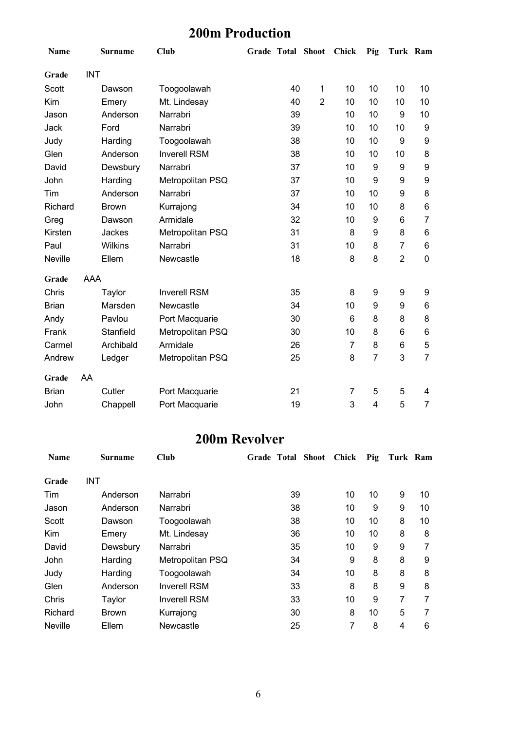## **200m Production**

| Name           |            | <b>Surname</b> | <b>Club</b>         | <b>Grade Total Shoot</b> |    |                | <b>Chick</b>   | Pig            | Turk Ram       |                |
|----------------|------------|----------------|---------------------|--------------------------|----|----------------|----------------|----------------|----------------|----------------|
| Grade          | <b>INT</b> |                |                     |                          |    |                |                |                |                |                |
| Scott          |            | Dawson         | Toogoolawah         |                          | 40 | 1              | 10             | 10             | 10             | 10             |
| Kim            |            | Emery          | Mt. Lindesay        |                          | 40 | $\overline{2}$ | 10             | 10             | 10             | 10             |
| Jason          |            | Anderson       | Narrabri            |                          | 39 |                | 10             | 10             | 9              | 10             |
| Jack           |            | Ford           | Narrabri            |                          | 39 |                | 10             | 10             | 10             | 9              |
| Judy           |            | Harding        | Toogoolawah         |                          | 38 |                | 10             | 10             | 9              | 9              |
| Glen           |            | Anderson       | <b>Inverell RSM</b> |                          | 38 |                | 10             | 10             | 10             | 8              |
| David          |            | Dewsbury       | Narrabri            |                          | 37 |                | 10             | 9              | 9              | 9              |
| John           |            | Harding        | Metropolitan PSQ    |                          | 37 |                | 10             | 9              | 9              | 9              |
| Tim            |            | Anderson       | Narrabri            |                          | 37 |                | 10             | 10             | 9              | 8              |
| Richard        |            | <b>Brown</b>   | Kurrajong           |                          | 34 |                | 10             | 10             | 8              | 6              |
| Greg           |            | Dawson         | Armidale            |                          | 32 |                | 10             | 9              | 6              | $\overline{7}$ |
| Kirsten        |            | Jackes         | Metropolitan PSQ    |                          | 31 |                | 8              | 9              | 8              | 6              |
| Paul           |            | Wilkins        | Narrabri            |                          | 31 |                | 10             | 8              | $\overline{7}$ | 6              |
| <b>Neville</b> |            | Ellem          | Newcastle           |                          | 18 |                | 8              | 8              | $\overline{2}$ | 0              |
| Grade          | AAA        |                |                     |                          |    |                |                |                |                |                |
| Chris          |            | Taylor         | <b>Inverell RSM</b> |                          | 35 |                | 8              | 9              | 9              | 9              |
| <b>Brian</b>   |            | Marsden        | Newcastle           |                          | 34 |                | 10             | 9              | 9              | 6              |
| Andy           |            | Pavlou         | Port Macquarie      |                          | 30 |                | 6              | 8              | 8              | 8              |
| Frank          |            | Stanfield      | Metropolitan PSQ    |                          | 30 |                | 10             | 8              | 6              | 6              |
| Carmel         |            | Archibald      | Armidale            |                          | 26 |                | $\overline{7}$ | 8              | 6              | 5              |
| Andrew         |            | Ledger         | Metropolitan PSQ    |                          | 25 |                | 8              | $\overline{7}$ | 3              | $\overline{7}$ |
| Grade          | AA         |                |                     |                          |    |                |                |                |                |                |
| <b>Brian</b>   |            | Cutler         | Port Macquarie      |                          | 21 |                | 7              | 5              | 5              | 4              |
| John           |            | Chappell       | Port Macquarie      |                          | 19 |                | 3              | 4              | 5              | $\overline{7}$ |

### **200m Revolver**

| <b>Name</b>    | Surname      | <b>Club</b>         | <b>Grade Total Shoot</b> | Chick | Pig | Turk Ram |    |
|----------------|--------------|---------------------|--------------------------|-------|-----|----------|----|
| Grade          | INT          |                     |                          |       |     |          |    |
| Tim            | Anderson     | Narrabri            | 39                       | 10    | 10  | 9        | 10 |
| Jason          | Anderson     | Narrabri            | 38                       | 10    | 9   | 9        | 10 |
| Scott          | Dawson       | Toogoolawah         | 38                       | 10    | 10  | 8        | 10 |
| Kim            | Emery        | Mt. Lindesay        | 36                       | 10    | 10  | 8        | 8  |
| David          | Dewsbury     | Narrabri            | 35                       | 10    | 9   | 9        | 7  |
| John           | Harding      | Metropolitan PSQ    | 34                       | 9     | 8   | 8        | 9  |
| Judy           | Harding      | Toogoolawah         | 34                       | 10    | 8   | 8        | 8  |
| Glen           | Anderson     | <b>Inverell RSM</b> | 33                       | 8     | 8   | 9        | 8  |
| Chris          | Taylor       | <b>Inverell RSM</b> | 33                       | 10    | 9   | 7        | 7  |
| Richard        | <b>Brown</b> | Kurrajong           | 30                       | 8     | 10  | 5        | 7  |
| <b>Neville</b> | Ellem        | Newcastle           | 25                       | 7     | 8   | 4        | 6  |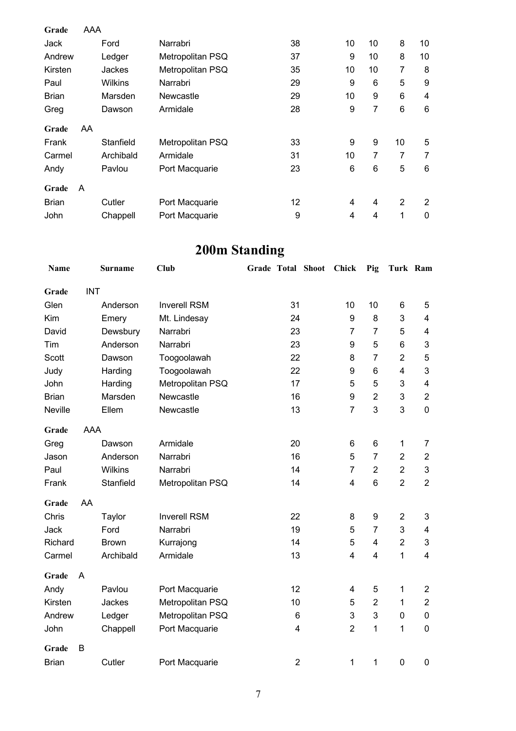| Grade        | AAA |           |                  |    |    |                |                |    |
|--------------|-----|-----------|------------------|----|----|----------------|----------------|----|
|              |     | Ford      | Narrabri         |    |    | 10             | 8              |    |
| Jack         |     |           |                  | 38 | 10 |                |                | 10 |
| Andrew       |     | Ledger    | Metropolitan PSQ | 37 | 9  | 10             | 8              | 10 |
| Kirsten      |     | Jackes    | Metropolitan PSQ | 35 | 10 | 10             | 7              | 8  |
| Paul         |     | Wilkins   | Narrabri         | 29 | 9  | 6              | 5              | 9  |
| <b>Brian</b> |     | Marsden   | Newcastle        | 29 | 10 | 9              | 6              | 4  |
| Greg         |     | Dawson    | Armidale         | 28 | 9  | 7              | 6              | 6  |
| Grade        | AA  |           |                  |    |    |                |                |    |
| Frank        |     | Stanfield | Metropolitan PSQ | 33 | 9  | 9              | 10             | 5  |
| Carmel       |     | Archibald | Armidale         | 31 | 10 | 7              | 7              | 7  |
| Andy         |     | Pavlou    | Port Macquarie   | 23 | 6  | 6              | 5              | 6  |
| Grade        | A   |           |                  |    |    |                |                |    |
| <b>Brian</b> |     | Cutler    | Port Macquarie   | 12 | 4  | $\overline{4}$ | $\overline{2}$ | 2  |
| John         |     | Chappell  | Port Macquarie   | 9  | 4  | 4              | 1              | 0  |

# **200m Standing**

| Name           |            | <b>Surname</b> | <b>Club</b>         |                | Grade Total Shoot | Chick          | Pig                     | Turk Ram                |                          |
|----------------|------------|----------------|---------------------|----------------|-------------------|----------------|-------------------------|-------------------------|--------------------------|
| Grade          | <b>INT</b> |                |                     |                |                   |                |                         |                         |                          |
| Glen           |            | Anderson       | <b>Inverell RSM</b> | 31             |                   | 10             | 10                      | 6                       | 5                        |
| Kim            |            | Emery          | Mt. Lindesay        | 24             |                   | 9              | 8                       | 3                       | 4                        |
| David          |            | Dewsbury       | Narrabri            | 23             |                   | $\overline{7}$ | $\overline{7}$          | 5                       | $\overline{\mathcal{A}}$ |
| Tim            |            | Anderson       | Narrabri            | 23             |                   | 9              | 5                       | 6                       | 3                        |
| <b>Scott</b>   |            | Dawson         | Toogoolawah         | 22             |                   | 8              | $\overline{7}$          | $\overline{2}$          | 5                        |
| Judy           |            | Harding        | Toogoolawah         | 22             |                   | 9              | 6                       | $\overline{\mathbf{4}}$ | 3                        |
| John           |            | Harding        | Metropolitan PSQ    | 17             |                   | 5              | 5                       | 3                       | $\overline{\mathcal{A}}$ |
| <b>Brian</b>   |            | Marsden        | Newcastle           | 16             |                   | 9              | $\overline{2}$          | 3                       | $\overline{2}$           |
| <b>Neville</b> |            | Ellem          | Newcastle           | 13             |                   | $\overline{7}$ | 3                       | 3                       | $\mathbf 0$              |
| Grade          | <b>AAA</b> |                |                     |                |                   |                |                         |                         |                          |
| Greg           |            | Dawson         | Armidale            | 20             |                   | 6              | 6                       | $\mathbf{1}$            | 7                        |
| Jason          |            | Anderson       | Narrabri            | 16             |                   | 5              | $\overline{7}$          | $\overline{2}$          | $\mathbf{2}$             |
| Paul           |            | Wilkins        | Narrabri            | 14             |                   | $\overline{7}$ | $\overline{2}$          | $\overline{2}$          | 3                        |
| Frank          |            | Stanfield      | Metropolitan PSQ    | 14             |                   | $\overline{4}$ | 6                       | $\overline{2}$          | $\overline{2}$           |
| Grade          | AA         |                |                     |                |                   |                |                         |                         |                          |
| Chris          |            | Taylor         | <b>Inverell RSM</b> | 22             |                   | 8              | 9                       | $\overline{2}$          | 3                        |
| <b>Jack</b>    |            | Ford           | Narrabri            | 19             |                   | 5              | $\overline{7}$          | 3                       | 4                        |
| Richard        |            | <b>Brown</b>   | Kurrajong           | 14             |                   | 5              | 4                       | $\overline{2}$          | 3                        |
| Carmel         |            | Archibald      | Armidale            | 13             |                   | 4              | $\overline{\mathbf{4}}$ | $\mathbf{1}$            | $\overline{\mathbf{4}}$  |
| Grade          | A          |                |                     |                |                   |                |                         |                         |                          |
| Andy           |            | Pavlou         | Port Macquarie      | 12             |                   | 4              | 5                       | $\mathbf 1$             | $\overline{2}$           |
| Kirsten        |            | Jackes         | Metropolitan PSQ    | 10             |                   | 5              | $\overline{2}$          | $\mathbf{1}$            | $\overline{2}$           |
| Andrew         |            | Ledger         | Metropolitan PSQ    | 6              |                   | 3              | 3                       | 0                       | $\mathbf 0$              |
| John           |            | Chappell       | Port Macquarie      | 4              |                   | $\overline{2}$ | 1                       | $\mathbf{1}$            | $\boldsymbol{0}$         |
| Grade          | B          |                |                     |                |                   |                |                         |                         |                          |
| <b>Brian</b>   |            | Cutler         | Port Macquarie      | $\overline{2}$ |                   | $\mathbf{1}$   | 1                       | $\mathbf 0$             | $\mathbf 0$              |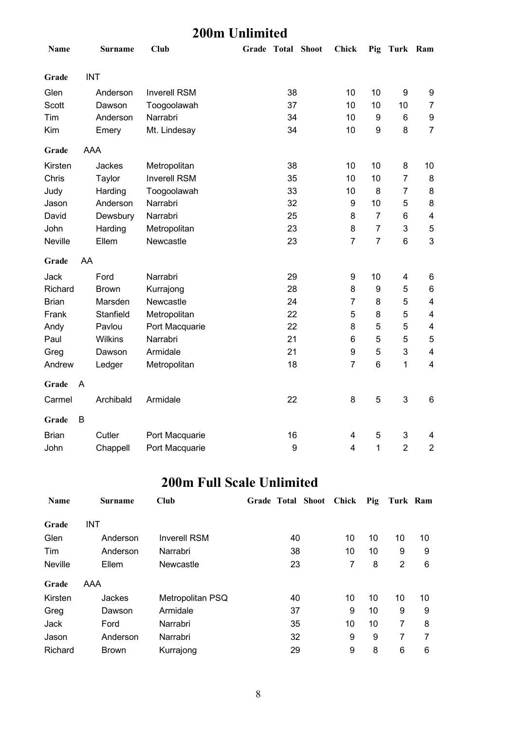#### **200m Unlimited**

| Name           |            | <b>Surname</b> | <b>Club</b>         | Grade Total Shoot |    | <b>Chick</b>            |                | Pig Turk Ram            |                         |
|----------------|------------|----------------|---------------------|-------------------|----|-------------------------|----------------|-------------------------|-------------------------|
| Grade          | <b>INT</b> |                |                     |                   |    |                         |                |                         |                         |
| Glen           |            | Anderson       | <b>Inverell RSM</b> |                   | 38 | 10                      | 10             | 9                       | 9                       |
| Scott          |            | Dawson         | Toogoolawah         |                   | 37 | 10                      | 10             | 10                      | $\overline{7}$          |
| Tim            |            | Anderson       | Narrabri            |                   | 34 | 10                      | 9              | 6                       | $\boldsymbol{9}$        |
| Kim            |            | Emery          | Mt. Lindesay        |                   | 34 | 10                      | 9              | 8                       | $\overline{7}$          |
| Grade          | <b>AAA</b> |                |                     |                   |    |                         |                |                         |                         |
| Kirsten        |            | Jackes         | Metropolitan        |                   | 38 | 10                      | 10             | 8                       | 10                      |
| Chris          |            | Taylor         | <b>Inverell RSM</b> |                   | 35 | 10                      | 10             | $\overline{7}$          | 8                       |
| Judy           |            | Harding        | Toogoolawah         |                   | 33 | 10                      | 8              | $\overline{7}$          | 8                       |
| Jason          |            | Anderson       | Narrabri            |                   | 32 | $\boldsymbol{9}$        | 10             | 5                       | 8                       |
| David          |            | Dewsbury       | Narrabri            |                   | 25 | 8                       | $\overline{7}$ | 6                       | $\overline{\mathbf{4}}$ |
| John           |            | Harding        | Metropolitan        |                   | 23 | 8                       | $\overline{7}$ | $\mathsf 3$             | 5                       |
| <b>Neville</b> |            | Ellem          | Newcastle           |                   | 23 | $\overline{7}$          | $\overline{7}$ | $\,6$                   | 3                       |
| Grade          | AA         |                |                     |                   |    |                         |                |                         |                         |
| <b>Jack</b>    |            | Ford           | Narrabri            |                   | 29 | 9                       | 10             | $\overline{\mathbf{4}}$ | 6                       |
| Richard        |            | <b>Brown</b>   | Kurrajong           |                   | 28 | 8                       | 9              | 5                       | 6                       |
| <b>Brian</b>   |            | Marsden        | Newcastle           |                   | 24 | $\overline{7}$          | 8              | 5                       | 4                       |
| Frank          |            | Stanfield      | Metropolitan        |                   | 22 | 5                       | 8              | 5                       | 4                       |
| Andy           |            | Pavlou         | Port Macquarie      |                   | 22 | 8                       | 5              | 5                       | $\overline{\mathbf{4}}$ |
| Paul           |            | Wilkins        | Narrabri            |                   | 21 | $\,6$                   | 5              | 5                       | 5                       |
| Greg           |            | Dawson         | Armidale            |                   | 21 | $\boldsymbol{9}$        | 5              | 3                       | $\overline{\mathbf{4}}$ |
| Andrew         |            | Ledger         | Metropolitan        |                   | 18 | $\overline{7}$          | $6\phantom{1}$ | $\mathbf{1}$            | 4                       |
| Grade          | A          |                |                     |                   |    |                         |                |                         |                         |
| Carmel         |            | Archibald      | Armidale            |                   | 22 | 8                       | 5              | $\mathsf 3$             | 6                       |
| Grade          | B          |                |                     |                   |    |                         |                |                         |                         |
| <b>Brian</b>   |            | Cutler         | Port Macquarie      |                   | 16 | $\overline{\mathbf{4}}$ | 5              | 3                       | 4                       |
| John           |            | Chappell       | Port Macquarie      |                   | 9  | $\overline{4}$          | 1              | $\overline{2}$          | $\overline{2}$          |

### **200m Full Scale Unlimited**

| <b>Name</b>    | <b>Surname</b> | <b>Club</b>         | Grade Total Shoot Chick |    |    | Pig Turk Ram |    |
|----------------|----------------|---------------------|-------------------------|----|----|--------------|----|
| Grade          | INT            |                     |                         |    |    |              |    |
| Glen           | Anderson       | <b>Inverell RSM</b> | 40                      | 10 | 10 | 10           | 10 |
| Tim            | Anderson       | Narrabri            | 38                      | 10 | 10 | 9            | 9  |
| <b>Neville</b> | Ellem          | Newcastle           | 23                      | 7  | 8  | 2            | 6  |
| Grade          | AAA            |                     |                         |    |    |              |    |
| Kirsten        | Jackes         | Metropolitan PSQ    | 40                      | 10 | 10 | 10           | 10 |
| Greg           | Dawson         | Armidale            | 37                      | 9  | 10 | 9            | 9  |
| Jack           | Ford           | Narrabri            | 35                      | 10 | 10 | 7            | 8  |
| Jason          | Anderson       | Narrabri            | 32                      | 9  | 9  | 7            | 7  |
| Richard        | <b>Brown</b>   | Kurrajong           | 29                      | 9  | 8  | 6            | 6  |